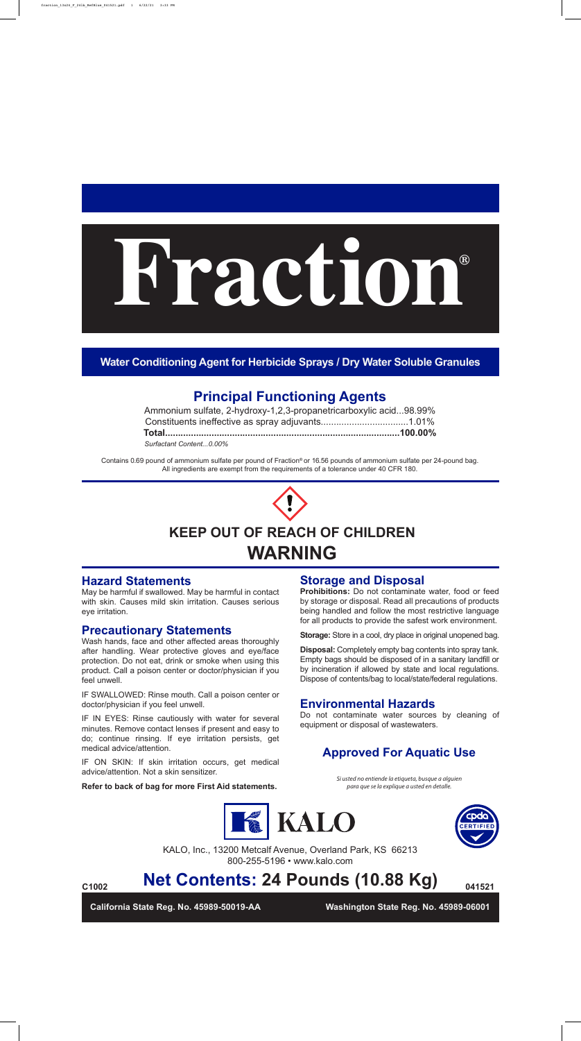| Ammonium sulfate, 2-hydroxy-1,2,3-propanetricarboxylic acid98.99% |  |
|-------------------------------------------------------------------|--|
|                                                                   |  |
|                                                                   |  |
| Surfactant Content0.00%                                           |  |

Contains 0.69 pound of ammonium sulfate per pound of Fraction® or 16.56 pounds of ammonium sulfate per 24-pound bag. All ingredients are exempt from the requirements of a tolerance under 40 CFR 180.



**California State Reg. No. 45989-50019-AA Washington State Reg. No. 45989-06001**

# **KEEP OUT OF REACH OF CHILDREN WARNING**

KALO, Inc., 13200 Metcalf Avenue, Overland Park, KS 66213 800-255-5196 • www.kalo.com

**Prohibitions:** Do not contaminate water, food or feed by storage or disposal. Read all precautions of products being handled and follow the most restrictive language for all products to provide the safest work environment.

**Net Contents: 24 Pounds (10.88 Kg) C1002 041521**

**Storage:** Store in a cool, dry place in original unopened bag.

**Disposal:** Completely empty bag contents into spray tank. Empty bags should be disposed of in a sanitary landfill or by incineration if allowed by state and local regulations. Dispose of contents/bag to local/state/federal regulations.

# **P Principal Functioning Agents**



*Si usted no entiende la etiqueta, busque a alguien para que se la explique a usted en detalle.*

Do not contaminate water sources by cleaning of equipment or disposal of wastewaters.

May be harmful if swallowed. May be harmful in contact with skin. Causes mild skin irritation. Causes serious eye irritation.

Wash hands, face and other affected areas thoroughly after handling. Wear protective gloves and eye/face protection. Do not eat, drink or smoke when using this product. Call a poison center or doctor/physician if you feel unwell.

IF SWALLOWED: Rinse mouth. Call a poison center or doctor/physician if you feel unwell.

## **E Environmental Hazards**

## **H Hazard Statements**

IF IN EYES: Rinse cautiously with water for several minutes. Remove contact lenses if present and easy to do; continue rinsing. If eye irritation persists, get medical advice/attention.

### **P Precautionary Statements**

IF ON SKIN: If skin irritation occurs, get medical advice/attention. Not a skin sensitizer.

### **Refer to back of bag for more First Aid statements.**

### **Storage and Disposal**

**Water Conditioning Agent for Herbicide Sprays / Dry Water Soluble Granules**





## **Approved For Aquatic Use**